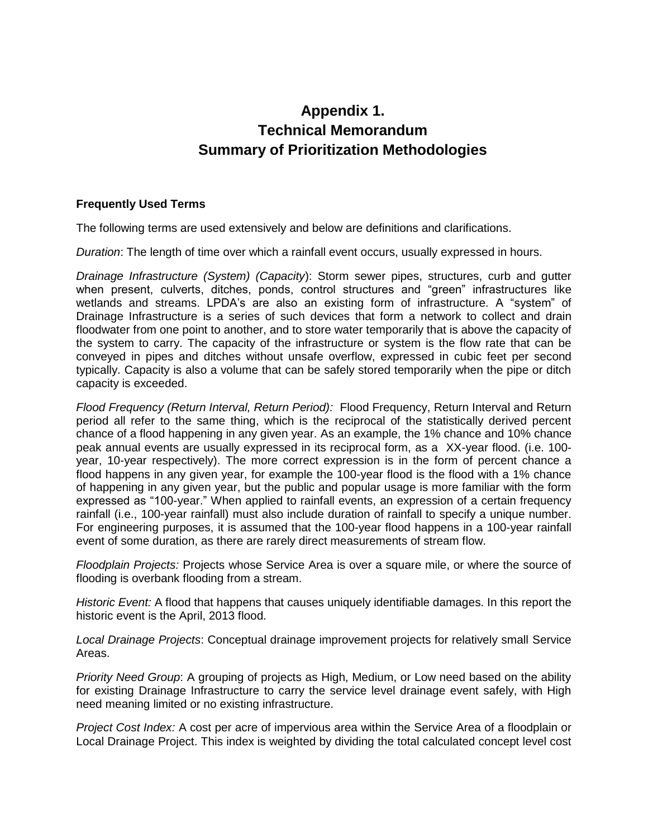### **Appendix 1. Technical Memorandum Summary of Prioritization Methodologies**

### **Frequently Used Terms**

The following terms are used extensively and below are definitions and clarifications.

*Duration*: The length of time over which a rainfall event occurs, usually expressed in hours.

*Drainage Infrastructure (System) (Capacity*): Storm sewer pipes, structures, curb and gutter when present, culverts, ditches, ponds, control structures and "green" infrastructures like wetlands and streams. LPDA's are also an existing form of infrastructure. A "system" of Drainage Infrastructure is a series of such devices that form a network to collect and drain floodwater from one point to another, and to store water temporarily that is above the capacity of the system to carry. The capacity of the infrastructure or system is the flow rate that can be conveyed in pipes and ditches without unsafe overflow, expressed in cubic feet per second typically. Capacity is also a volume that can be safely stored temporarily when the pipe or ditch capacity is exceeded.

*Flood Frequency (Return Interval, Return Period):* Flood Frequency, Return Interval and Return period all refer to the same thing, which is the reciprocal of the statistically derived percent chance of a flood happening in any given year. As an example, the 1% chance and 10% chance peak annual events are usually expressed in its reciprocal form, as a XX-year flood. (i.e. 100 year, 10-year respectively). The more correct expression is in the form of percent chance a flood happens in any given year, for example the 100-year flood is the flood with a 1% chance of happening in any given year, but the public and popular usage is more familiar with the form expressed as "100-year." When applied to rainfall events, an expression of a certain frequency rainfall (i.e., 100-year rainfall) must also include duration of rainfall to specify a unique number. For engineering purposes, it is assumed that the 100-year flood happens in a 100-year rainfall event of some duration, as there are rarely direct measurements of stream flow.

*Floodplain Projects:* Projects whose Service Area is over a square mile, or where the source of flooding is overbank flooding from a stream.

*Historic Event:* A flood that happens that causes uniquely identifiable damages. In this report the historic event is the April, 2013 flood.

*Local Drainage Projects*: Conceptual drainage improvement projects for relatively small Service Areas.

*Priority Need Group*: A grouping of projects as High, Medium, or Low need based on the ability for existing Drainage Infrastructure to carry the service level drainage event safely, with High need meaning limited or no existing infrastructure.

*Project Cost Index:* A cost per acre of impervious area within the Service Area of a floodplain or Local Drainage Project. This index is weighted by dividing the total calculated concept level cost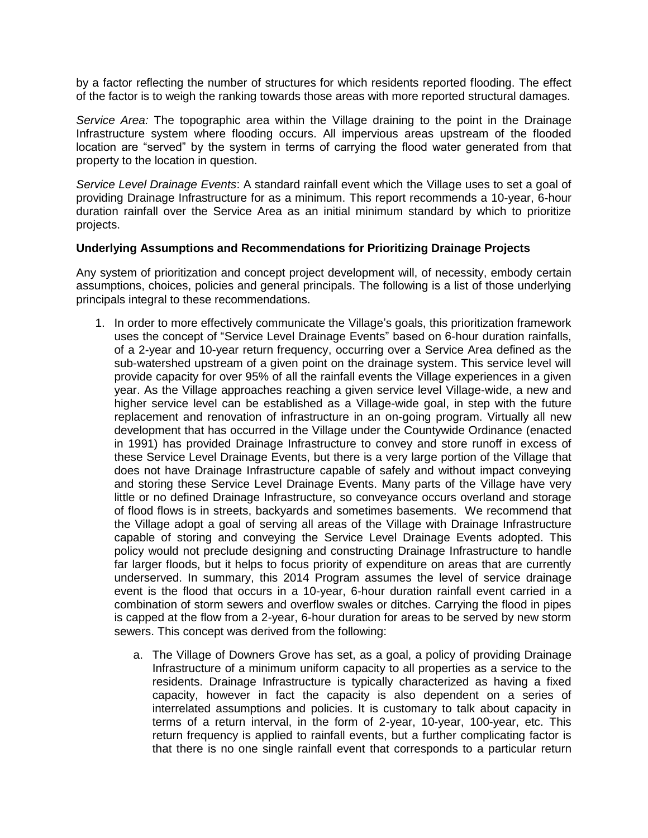by a factor reflecting the number of structures for which residents reported flooding. The effect of the factor is to weigh the ranking towards those areas with more reported structural damages.

*Service Area:* The topographic area within the Village draining to the point in the Drainage Infrastructure system where flooding occurs. All impervious areas upstream of the flooded location are "served" by the system in terms of carrying the flood water generated from that property to the location in question.

*Service Level Drainage Events*: A standard rainfall event which the Village uses to set a goal of providing Drainage Infrastructure for as a minimum. This report recommends a 10-year, 6-hour duration rainfall over the Service Area as an initial minimum standard by which to prioritize projects.

#### **Underlying Assumptions and Recommendations for Prioritizing Drainage Projects**

Any system of prioritization and concept project development will, of necessity, embody certain assumptions, choices, policies and general principals. The following is a list of those underlying principals integral to these recommendations.

- 1. In order to more effectively communicate the Village's goals, this prioritization framework uses the concept of "Service Level Drainage Events" based on 6-hour duration rainfalls, of a 2-year and 10-year return frequency, occurring over a Service Area defined as the sub-watershed upstream of a given point on the drainage system. This service level will provide capacity for over 95% of all the rainfall events the Village experiences in a given year. As the Village approaches reaching a given service level Village-wide, a new and higher service level can be established as a Village-wide goal, in step with the future replacement and renovation of infrastructure in an on-going program. Virtually all new development that has occurred in the Village under the Countywide Ordinance (enacted in 1991) has provided Drainage Infrastructure to convey and store runoff in excess of these Service Level Drainage Events, but there is a very large portion of the Village that does not have Drainage Infrastructure capable of safely and without impact conveying and storing these Service Level Drainage Events. Many parts of the Village have very little or no defined Drainage Infrastructure, so conveyance occurs overland and storage of flood flows is in streets, backyards and sometimes basements. We recommend that the Village adopt a goal of serving all areas of the Village with Drainage Infrastructure capable of storing and conveying the Service Level Drainage Events adopted. This policy would not preclude designing and constructing Drainage Infrastructure to handle far larger floods, but it helps to focus priority of expenditure on areas that are currently underserved. In summary, this 2014 Program assumes the level of service drainage event is the flood that occurs in a 10-year, 6-hour duration rainfall event carried in a combination of storm sewers and overflow swales or ditches. Carrying the flood in pipes is capped at the flow from a 2-year, 6-hour duration for areas to be served by new storm sewers. This concept was derived from the following:
	- a. The Village of Downers Grove has set, as a goal, a policy of providing Drainage Infrastructure of a minimum uniform capacity to all properties as a service to the residents. Drainage Infrastructure is typically characterized as having a fixed capacity, however in fact the capacity is also dependent on a series of interrelated assumptions and policies. It is customary to talk about capacity in terms of a return interval, in the form of 2-year, 10-year, 100-year, etc. This return frequency is applied to rainfall events, but a further complicating factor is that there is no one single rainfall event that corresponds to a particular return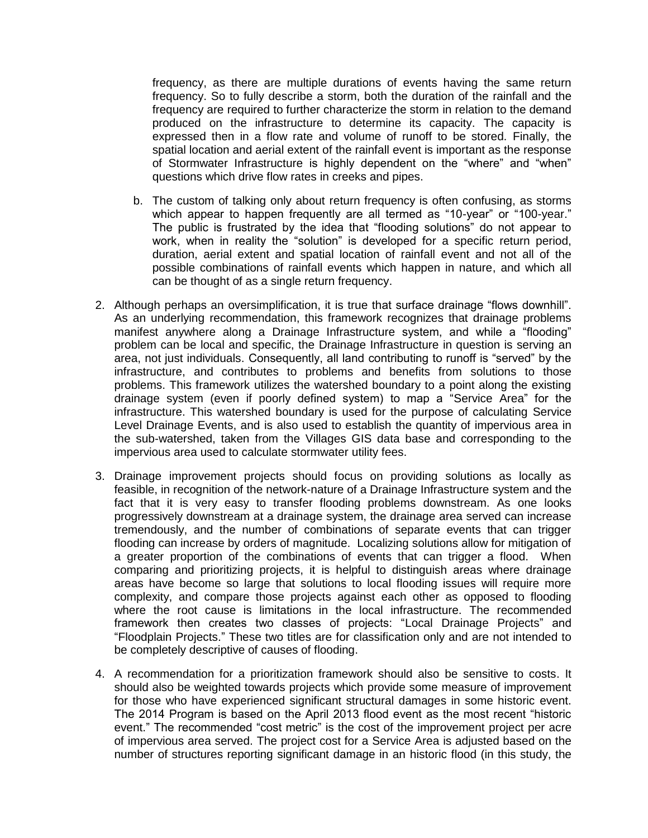frequency, as there are multiple durations of events having the same return frequency. So to fully describe a storm, both the duration of the rainfall and the frequency are required to further characterize the storm in relation to the demand produced on the infrastructure to determine its capacity. The capacity is expressed then in a flow rate and volume of runoff to be stored. Finally, the spatial location and aerial extent of the rainfall event is important as the response of Stormwater Infrastructure is highly dependent on the "where" and "when" questions which drive flow rates in creeks and pipes.

- b. The custom of talking only about return frequency is often confusing, as storms which appear to happen frequently are all termed as "10-year" or "100-year." The public is frustrated by the idea that "flooding solutions" do not appear to work, when in reality the "solution" is developed for a specific return period, duration, aerial extent and spatial location of rainfall event and not all of the possible combinations of rainfall events which happen in nature, and which all can be thought of as a single return frequency.
- 2. Although perhaps an oversimplification, it is true that surface drainage "flows downhill". As an underlying recommendation, this framework recognizes that drainage problems manifest anywhere along a Drainage Infrastructure system, and while a "flooding" problem can be local and specific, the Drainage Infrastructure in question is serving an area, not just individuals. Consequently, all land contributing to runoff is "served" by the infrastructure, and contributes to problems and benefits from solutions to those problems. This framework utilizes the watershed boundary to a point along the existing drainage system (even if poorly defined system) to map a "Service Area" for the infrastructure. This watershed boundary is used for the purpose of calculating Service Level Drainage Events, and is also used to establish the quantity of impervious area in the sub-watershed, taken from the Villages GIS data base and corresponding to the impervious area used to calculate stormwater utility fees.
- 3. Drainage improvement projects should focus on providing solutions as locally as feasible, in recognition of the network-nature of a Drainage Infrastructure system and the fact that it is very easy to transfer flooding problems downstream. As one looks progressively downstream at a drainage system, the drainage area served can increase tremendously, and the number of combinations of separate events that can trigger flooding can increase by orders of magnitude. Localizing solutions allow for mitigation of a greater proportion of the combinations of events that can trigger a flood. When comparing and prioritizing projects, it is helpful to distinguish areas where drainage areas have become so large that solutions to local flooding issues will require more complexity, and compare those projects against each other as opposed to flooding where the root cause is limitations in the local infrastructure. The recommended framework then creates two classes of projects: "Local Drainage Projects" and "Floodplain Projects." These two titles are for classification only and are not intended to be completely descriptive of causes of flooding.
- 4. A recommendation for a prioritization framework should also be sensitive to costs. It should also be weighted towards projects which provide some measure of improvement for those who have experienced significant structural damages in some historic event. The 2014 Program is based on the April 2013 flood event as the most recent "historic event." The recommended "cost metric" is the cost of the improvement project per acre of impervious area served. The project cost for a Service Area is adjusted based on the number of structures reporting significant damage in an historic flood (in this study, the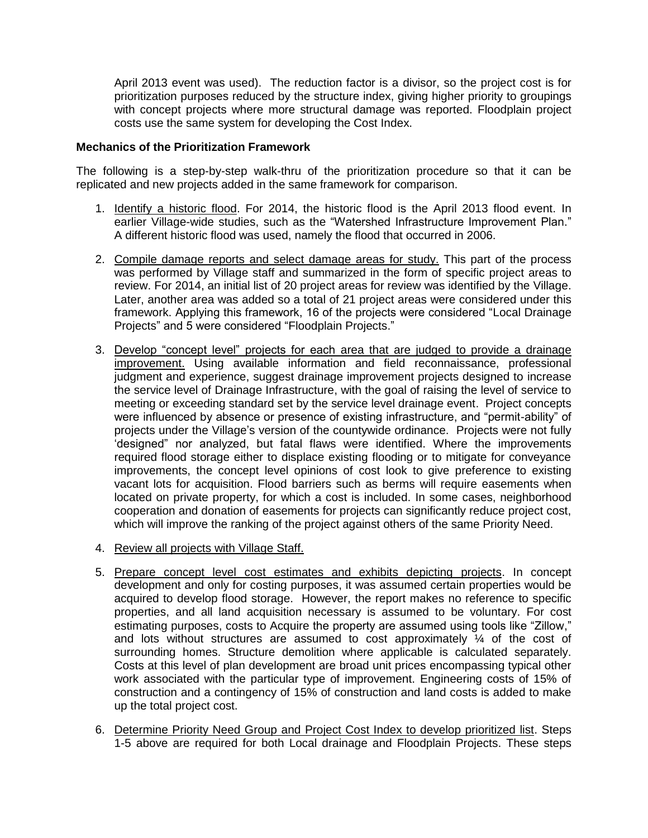April 2013 event was used). The reduction factor is a divisor, so the project cost is for prioritization purposes reduced by the structure index, giving higher priority to groupings with concept projects where more structural damage was reported. Floodplain project costs use the same system for developing the Cost Index.

#### **Mechanics of the Prioritization Framework**

The following is a step-by-step walk-thru of the prioritization procedure so that it can be replicated and new projects added in the same framework for comparison.

- 1. Identify a historic flood. For 2014, the historic flood is the April 2013 flood event. In earlier Village-wide studies, such as the "Watershed Infrastructure Improvement Plan." A different historic flood was used, namely the flood that occurred in 2006.
- 2. Compile damage reports and select damage areas for study. This part of the process was performed by Village staff and summarized in the form of specific project areas to review. For 2014, an initial list of 20 project areas for review was identified by the Village. Later, another area was added so a total of 21 project areas were considered under this framework. Applying this framework, 16 of the projects were considered "Local Drainage Projects" and 5 were considered "Floodplain Projects."
- 3. Develop "concept level" projects for each area that are judged to provide a drainage improvement. Using available information and field reconnaissance, professional judgment and experience, suggest drainage improvement projects designed to increase the service level of Drainage Infrastructure, with the goal of raising the level of service to meeting or exceeding standard set by the service level drainage event. Project concepts were influenced by absence or presence of existing infrastructure, and "permit-ability" of projects under the Village's version of the countywide ordinance. Projects were not fully 'designed" nor analyzed, but fatal flaws were identified. Where the improvements required flood storage either to displace existing flooding or to mitigate for conveyance improvements, the concept level opinions of cost look to give preference to existing vacant lots for acquisition. Flood barriers such as berms will require easements when located on private property, for which a cost is included. In some cases, neighborhood cooperation and donation of easements for projects can significantly reduce project cost, which will improve the ranking of the project against others of the same Priority Need.
- 4. Review all projects with Village Staff.
- 5. Prepare concept level cost estimates and exhibits depicting projects. In concept development and only for costing purposes, it was assumed certain properties would be acquired to develop flood storage. However, the report makes no reference to specific properties, and all land acquisition necessary is assumed to be voluntary. For cost estimating purposes, costs to Acquire the property are assumed using tools like "Zillow," and lots without structures are assumed to cost approximately ¼ of the cost of surrounding homes. Structure demolition where applicable is calculated separately. Costs at this level of plan development are broad unit prices encompassing typical other work associated with the particular type of improvement. Engineering costs of 15% of construction and a contingency of 15% of construction and land costs is added to make up the total project cost.
- 6. Determine Priority Need Group and Project Cost Index to develop prioritized list. Steps 1-5 above are required for both Local drainage and Floodplain Projects. These steps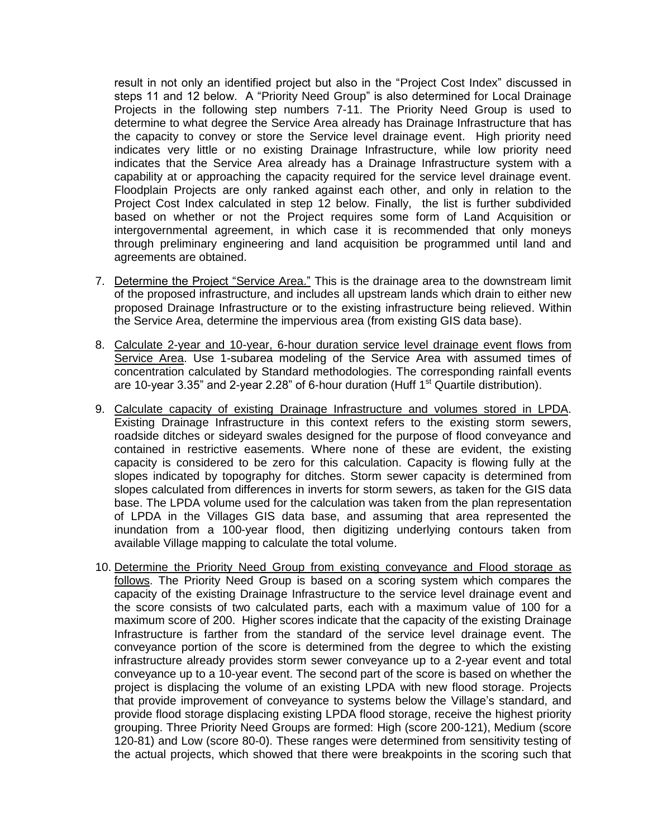result in not only an identified project but also in the "Project Cost Index" discussed in steps 11 and 12 below. A "Priority Need Group" is also determined for Local Drainage Projects in the following step numbers 7-11. The Priority Need Group is used to determine to what degree the Service Area already has Drainage Infrastructure that has the capacity to convey or store the Service level drainage event. High priority need indicates very little or no existing Drainage Infrastructure, while low priority need indicates that the Service Area already has a Drainage Infrastructure system with a capability at or approaching the capacity required for the service level drainage event. Floodplain Projects are only ranked against each other, and only in relation to the Project Cost Index calculated in step 12 below. Finally, the list is further subdivided based on whether or not the Project requires some form of Land Acquisition or intergovernmental agreement, in which case it is recommended that only moneys through preliminary engineering and land acquisition be programmed until land and agreements are obtained.

- 7. Determine the Project "Service Area." This is the drainage area to the downstream limit of the proposed infrastructure, and includes all upstream lands which drain to either new proposed Drainage Infrastructure or to the existing infrastructure being relieved. Within the Service Area, determine the impervious area (from existing GIS data base).
- 8. Calculate 2-year and 10-year, 6-hour duration service level drainage event flows from Service Area. Use 1-subarea modeling of the Service Area with assumed times of concentration calculated by Standard methodologies. The corresponding rainfall events are 10-year 3.35" and 2-year 2.28" of 6-hour duration (Huff  $1<sup>st</sup>$  Quartile distribution).
- 9. Calculate capacity of existing Drainage Infrastructure and volumes stored in LPDA. Existing Drainage Infrastructure in this context refers to the existing storm sewers, roadside ditches or sideyard swales designed for the purpose of flood conveyance and contained in restrictive easements. Where none of these are evident, the existing capacity is considered to be zero for this calculation. Capacity is flowing fully at the slopes indicated by topography for ditches. Storm sewer capacity is determined from slopes calculated from differences in inverts for storm sewers, as taken for the GIS data base. The LPDA volume used for the calculation was taken from the plan representation of LPDA in the Villages GIS data base, and assuming that area represented the inundation from a 100-year flood, then digitizing underlying contours taken from available Village mapping to calculate the total volume.
- 10. Determine the Priority Need Group from existing conveyance and Flood storage as follows. The Priority Need Group is based on a scoring system which compares the capacity of the existing Drainage Infrastructure to the service level drainage event and the score consists of two calculated parts, each with a maximum value of 100 for a maximum score of 200. Higher scores indicate that the capacity of the existing Drainage Infrastructure is farther from the standard of the service level drainage event. The conveyance portion of the score is determined from the degree to which the existing infrastructure already provides storm sewer conveyance up to a 2-year event and total conveyance up to a 10-year event. The second part of the score is based on whether the project is displacing the volume of an existing LPDA with new flood storage. Projects that provide improvement of conveyance to systems below the Village's standard, and provide flood storage displacing existing LPDA flood storage, receive the highest priority grouping. Three Priority Need Groups are formed: High (score 200-121), Medium (score 120-81) and Low (score 80-0). These ranges were determined from sensitivity testing of the actual projects, which showed that there were breakpoints in the scoring such that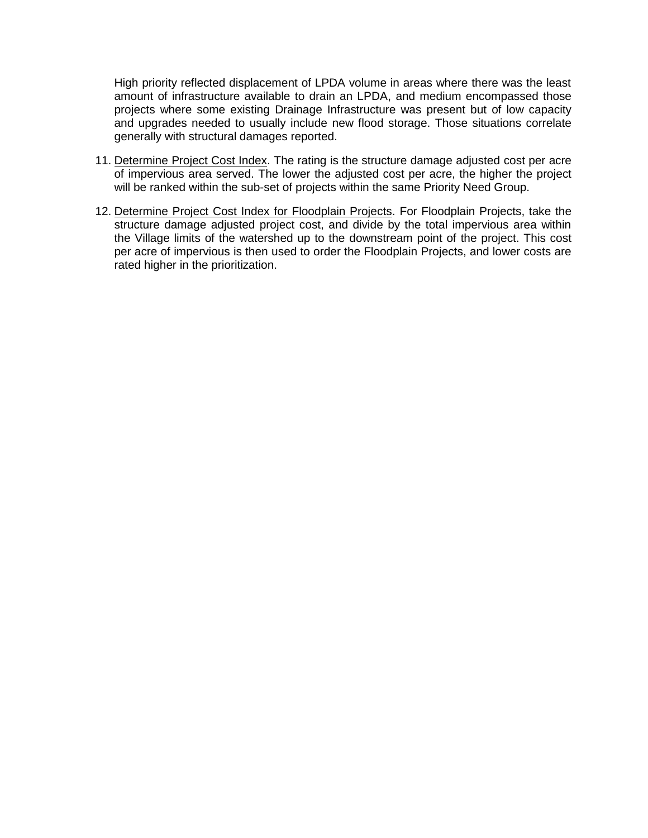High priority reflected displacement of LPDA volume in areas where there was the least amount of infrastructure available to drain an LPDA, and medium encompassed those projects where some existing Drainage Infrastructure was present but of low capacity and upgrades needed to usually include new flood storage. Those situations correlate generally with structural damages reported.

- 11. Determine Project Cost Index. The rating is the structure damage adjusted cost per acre of impervious area served. The lower the adjusted cost per acre, the higher the project will be ranked within the sub-set of projects within the same Priority Need Group.
- 12. Determine Project Cost Index for Floodplain Projects. For Floodplain Projects, take the structure damage adjusted project cost, and divide by the total impervious area within the Village limits of the watershed up to the downstream point of the project. This cost per acre of impervious is then used to order the Floodplain Projects, and lower costs are rated higher in the prioritization.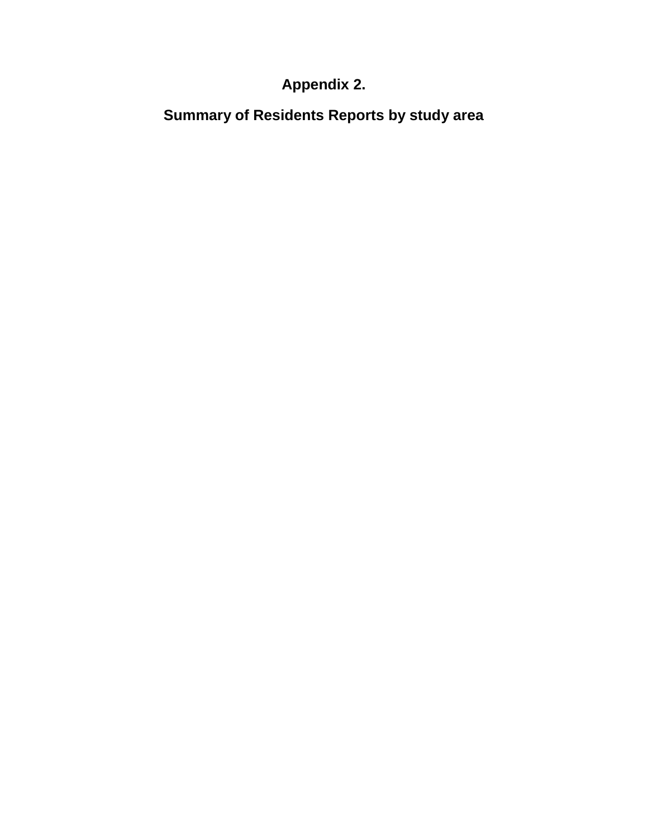# **Appendix 2.**

**Summary of Residents Reports by study area**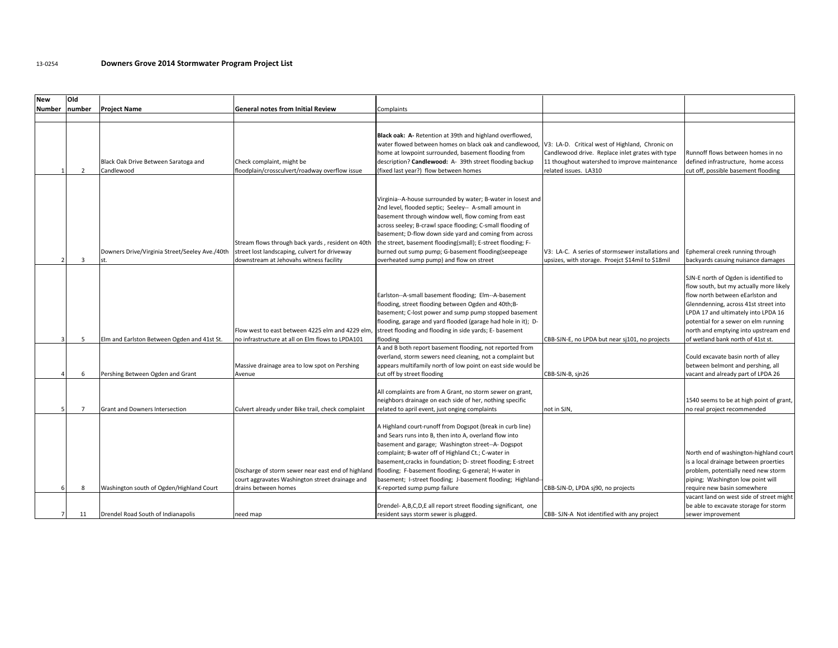#### 13-0254 **Downers Grove 2014 Stormwater Program Project List**

| <b>New</b>     | Old            |                                                      |                                                                                                                                               |                                                                                                                                                                                                                                                                                                                                                                                                                                                                                                                        |                                                                                                                            |                                                                                                                                                                                                                                                                                                                           |
|----------------|----------------|------------------------------------------------------|-----------------------------------------------------------------------------------------------------------------------------------------------|------------------------------------------------------------------------------------------------------------------------------------------------------------------------------------------------------------------------------------------------------------------------------------------------------------------------------------------------------------------------------------------------------------------------------------------------------------------------------------------------------------------------|----------------------------------------------------------------------------------------------------------------------------|---------------------------------------------------------------------------------------------------------------------------------------------------------------------------------------------------------------------------------------------------------------------------------------------------------------------------|
| Number         | number         | <b>Project Name</b>                                  | <b>General notes from Initial Review</b>                                                                                                      | Complaints                                                                                                                                                                                                                                                                                                                                                                                                                                                                                                             |                                                                                                                            |                                                                                                                                                                                                                                                                                                                           |
|                |                |                                                      |                                                                                                                                               |                                                                                                                                                                                                                                                                                                                                                                                                                                                                                                                        |                                                                                                                            |                                                                                                                                                                                                                                                                                                                           |
|                | $\overline{2}$ | Black Oak Drive Between Saratoga and<br>Candlewood   | Check complaint, might be<br>floodplain/crossculvert/roadway overflow issue                                                                   | Black oak: A- Retention at 39th and highland overflowed,<br>water flowed between homes on black oak and candlewood, V3: LA-D. Critical west of Highland, Chronic on<br>home at lowpoint surrounded, basement flooding from<br>description? Candlewood: A- 39th street flooding backup<br>(fixed last year?) flow between homes                                                                                                                                                                                         | Candlewood drive. Replace inlet grates with type<br>11 thoughout watershed to improve maintenance<br>related issues. LA310 | Runnoff flows between homes in no<br>defined infrastructure, home access<br>cut off, possible basement flooding                                                                                                                                                                                                           |
|                | 3              | Downers Drive/Virginia Street/Seeley Ave./40th<br>٢t | Stream flows through back yards, resident on 40th<br>street lost landscaping, culvert for driveway<br>downstream at Jehovahs witness facility | Virginia--A-house surrounded by water; B-water in losest and<br>2nd level, flooded septic; Seeley-- A-small amount in<br>basement through window well, flow coming from east<br>across seeley; B-crawl space flooding; C-small flooding of<br>basement; D-flow down side yard and coming from across<br>the street, basement flooding(small); E-street flooding; F-<br>burned out sump pump; G-basement flooding(seepeage<br>overheated sump pump) and flow on street                                                  | V3: LA-C. A series of stormsewer installations and<br>upsizes, with storage. Proejct \$14mil to \$18mil                    | Ephemeral creek running through<br>backyards casuing nuisance damages                                                                                                                                                                                                                                                     |
|                | 5              | Elm and Earlston Between Ogden and 41st St.          | Flow west to east between 4225 elm and 4229 elm,<br>no infrastructure at all on Elm flows to LPDA101                                          | Earlston--A-small basement flooding; Elm--A-basement<br>flooding, street flooding between Ogden and 40th;B-<br>basement; C-lost power and sump pump stopped basement<br>flooding, garage and yard flooded (garage had hole in it); D-<br>street flooding and flooding in side yards; E- basement<br>flooding                                                                                                                                                                                                           | CBB-SJN-E, no LPDA but near sj101, no projects                                                                             | SJN-E north of Ogden is identified to<br>flow south, but my actually more likely<br>flow north between eEarlston and<br>Glenndenning, across 41st street into<br>LPDA 17 and ultimately into LPDA 16<br>potential for a sewer on elm running<br>north and emptying into upstream end<br>of wetland bank north of 41st st. |
|                | 6              | Pershing Between Ogden and Grant                     | Massive drainage area to low spot on Pershing<br>Avenue                                                                                       | A and B both report basement flooding, not reported from<br>overland, storm sewers need cleaning, not a complaint but<br>appears multifamily north of low point on east side would be<br>cut off by street flooding                                                                                                                                                                                                                                                                                                    | CBB-SJN-B, sjn26                                                                                                           | Could excavate basin north of alley<br>between belmont and pershing, all<br>vacant and already part of LPDA 26                                                                                                                                                                                                            |
|                | $\overline{7}$ | Grant and Downers Intersection                       | Culvert already under Bike trail, check complaint                                                                                             | All complaints are from A Grant, no storm sewer on grant,<br>neighbors drainage on each side of her, nothing specific<br>related to april event, just onging complaints                                                                                                                                                                                                                                                                                                                                                | not in SJN,                                                                                                                | 1540 seems to be at high point of grant,<br>no real project recommended                                                                                                                                                                                                                                                   |
|                | 8              | Washington south of Ogden/Highland Court             | Discharge of storm sewer near east end of highland<br>court aggravates Washington street drainage and<br>drains between homes                 | A Highland court-runoff from Dogspot (break in curb line)<br>and Sears runs into B, then into A, overland flow into<br>basement and garage; Washington street--A-Dogspot<br>complaint; B-water off of Highland Ct.; C-water in<br>basement, cracks in foundation; D- street flooding; E-street<br>flooding; F-basement flooding; G-general; H-water in<br>basement; I-street flooding; J-basement flooding; Highland-<br>K-reported sump pump failure<br>Drendel-A,B,C,D,E all report street flooding significant, one | CBB-SJN-D, LPDA sj90, no projects                                                                                          | North end of washington-highland court<br>is a local drainage between proerties<br>problem, potentially need new storm<br>piping; Washington low point will<br>require new basin somewhere<br>vacant land on west side of street might<br>be able to excavate storage for storm                                           |
| $\overline{7}$ | 11             | Drendel Road South of Indianapolis                   | need map                                                                                                                                      | resident says storm sewer is plugged.                                                                                                                                                                                                                                                                                                                                                                                                                                                                                  | CBB- SJN-A Not identified with any project                                                                                 | sewer improvement                                                                                                                                                                                                                                                                                                         |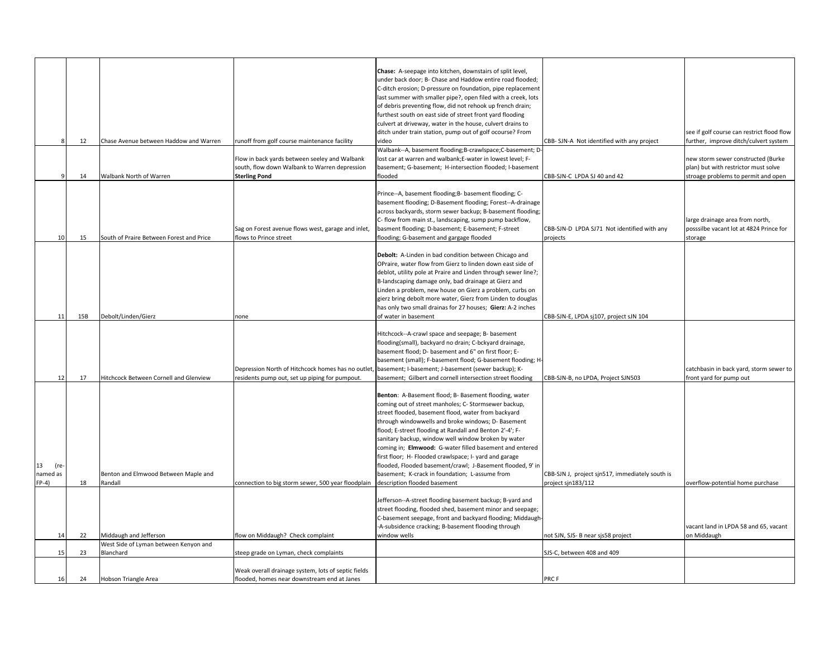|                     |     |                                                 |                                                     | Chase: A-seepage into kitchen, downstairs of split level,                      |                                                                       |                                            |
|---------------------|-----|-------------------------------------------------|-----------------------------------------------------|--------------------------------------------------------------------------------|-----------------------------------------------------------------------|--------------------------------------------|
|                     |     |                                                 |                                                     | under back door; B- Chase and Haddow entire road flooded;                      |                                                                       |                                            |
|                     |     |                                                 |                                                     | C-ditch erosion; D-pressure on foundation, pipe replacement                    |                                                                       |                                            |
|                     |     |                                                 |                                                     | last summer with smaller pipe?, open filed with a creek, lots                  |                                                                       |                                            |
|                     |     |                                                 |                                                     | of debris preventing flow, did not rehook up french drain;                     |                                                                       |                                            |
|                     |     |                                                 |                                                     | furthest south on east side of street front yard flooding                      |                                                                       |                                            |
|                     |     |                                                 |                                                     | culvert at driveway, water in the house, culvert drains to                     |                                                                       |                                            |
|                     |     |                                                 |                                                     | ditch under train station, pump out of golf ocourse? From                      |                                                                       | see if golf course can restrict flood flow |
|                     | 12  | Chase Avenue between Haddow and Warren          | runoff from golf course maintenance facility        | video                                                                          | CBB- SJN-A Not identified with any project                            | further, improve ditch/culvert system      |
|                     |     |                                                 |                                                     | Walbank--A, basement flooding;B-crawlspace;C-basement; D-                      |                                                                       |                                            |
|                     |     |                                                 | Flow in back yards between seeley and Walbank       | lost car at warren and walbank;E-water in lowest level; F-                     |                                                                       | new storm sewer constructed (Burke         |
|                     |     |                                                 | south, flow down Walbank to Warren depression       | basement; G-basement; H-intersection flooded; I-basement                       |                                                                       | plan) but with restrictor must solve       |
|                     | 14  | Walbank North of Warren                         | <b>Sterling Pond</b>                                | flooded                                                                        | CBB-SJN-C LPDA SJ 40 and 42                                           | stroage problems to permit and open        |
|                     |     |                                                 |                                                     |                                                                                |                                                                       |                                            |
|                     |     |                                                 |                                                     | Prince--A, basement flooding;B- basement flooding; C-                          |                                                                       |                                            |
|                     |     |                                                 |                                                     | basement flooding; D-Basement flooding; Forest--A-drainage                     |                                                                       |                                            |
|                     |     |                                                 |                                                     | across backyards, storm sewer backup; B-basement flooding;                     |                                                                       |                                            |
|                     |     |                                                 |                                                     | C- flow from main st., landscaping, sump pump backflow,                        |                                                                       | large drainage area from north,            |
|                     |     |                                                 | Sag on Forest avenue flows west, garage and inlet,  | basment flooding; D-basement; E-basement; F-street                             | CBB-SJN-D LPDA SJ71 Not identified with any                           | posssilbe vacant lot at 4824 Prince for    |
| 10                  | 15  | South of Praire Between Forest and Price        | flows to Prince street                              | flooding; G-basement and gargage flooded                                       | projects                                                              | storage                                    |
|                     |     |                                                 |                                                     |                                                                                |                                                                       |                                            |
|                     |     |                                                 |                                                     | Debolt: A-Linden in bad condition between Chicago and                          |                                                                       |                                            |
|                     |     |                                                 |                                                     | OPraire, water flow from Gierz to linden down east side of                     |                                                                       |                                            |
|                     |     |                                                 |                                                     | deblot, utility pole at Praire and Linden through sewer line?;                 |                                                                       |                                            |
|                     |     |                                                 |                                                     | B-landscaping damage only, bad drainage at Gierz and                           |                                                                       |                                            |
|                     |     |                                                 |                                                     | Linden a problem, new house on Gierz a problem, curbs on                       |                                                                       |                                            |
|                     |     |                                                 |                                                     | gierz bring debolt more water, Gierz from Linden to douglas                    |                                                                       |                                            |
|                     |     |                                                 |                                                     | has only two small drainas for 27 houses; Gierz: A-2 inches                    |                                                                       |                                            |
| 11                  | 15B | Debolt/Linden/Gierz                             | none                                                | of water in basement                                                           | CBB-SJN-E, LPDA sj107, project sJN 104                                |                                            |
|                     |     |                                                 |                                                     |                                                                                |                                                                       |                                            |
|                     |     |                                                 |                                                     | Hitchcock--A-crawl space and seepage; B- basement                              |                                                                       |                                            |
|                     |     |                                                 |                                                     | flooding(small), backyard no drain; C-bckyard drainage,                        |                                                                       |                                            |
|                     |     |                                                 |                                                     | basement flood; D- basement and 6" on first floor; E-                          |                                                                       |                                            |
|                     |     |                                                 |                                                     | basement (small); F-basement flood; G-basement flooding; H-                    |                                                                       |                                            |
|                     |     |                                                 | Depression North of Hitchcock homes has no outlet   | basement; I-basement; J-basement (sewer backup); K-                            |                                                                       | catchbasin in back yard, storm sewer to    |
| 12                  | 17  | Hitchcock Between Cornell and Glenview          | residents pump out, set up piping for pumpout.      | basement; Gilbert and cornell intersection street flooding                     | CBB-SJN-B, no LPDA, Project SJN503                                    | front yard for pump out                    |
|                     |     |                                                 |                                                     |                                                                                |                                                                       |                                            |
|                     |     |                                                 |                                                     | Benton: A-Basement flood; B- Basement flooding, water                          |                                                                       |                                            |
|                     |     |                                                 |                                                     | coming out of street manholes; C- Stormsewer backup,                           |                                                                       |                                            |
|                     |     |                                                 |                                                     | street flooded, basement flood, water from backyard                            |                                                                       |                                            |
|                     |     |                                                 |                                                     | through windowwells and broke windows; D- Basement                             |                                                                       |                                            |
|                     |     |                                                 |                                                     | flood; E-street flooding at Randall and Benton 2'-4'; F-                       |                                                                       |                                            |
|                     |     |                                                 |                                                     | sanitary backup, window well window broken by water                            |                                                                       |                                            |
|                     |     |                                                 |                                                     | coming in; Elmwood: G-water filled basement and entered                        |                                                                       |                                            |
|                     |     |                                                 |                                                     | first floor; H- Flooded crawlspace; I- yard and garage                         |                                                                       |                                            |
| 13<br>(re-          |     |                                                 |                                                     | flooded, Flooded basement/crawl; J-Basement flooded, 9' in                     |                                                                       |                                            |
| named as<br>$FP-4)$ | 18  | Benton and Elmwood Between Maple and<br>Randall | connection to big storm sewer, 500 year floodplain  | basement; K-crack in foundation; L-assume from<br>description flooded basement | CBB-SJN J, project sjn517, immediately south is<br>project sjn183/112 | overflow-potential home purchase           |
|                     |     |                                                 |                                                     |                                                                                |                                                                       |                                            |
|                     |     |                                                 |                                                     | Jefferson--A-street flooding basement backup; B-yard and                       |                                                                       |                                            |
|                     |     |                                                 |                                                     | street flooding, flooded shed, basement minor and seepage;                     |                                                                       |                                            |
|                     |     |                                                 |                                                     | C-basement seepage, front and backyard flooding; Middaugh                      |                                                                       |                                            |
|                     |     |                                                 |                                                     | -A-subsidence cracking; B-basement flooding through                            |                                                                       | vacant land in LPDA 58 and 65, vacant      |
| 14                  | 22  | Middaugh and Jefferson                          | flow on Middaugh? Check complaint                   | window wells                                                                   | not SJN, SJS- B near sjs58 project                                    | on Middaugh                                |
|                     |     | West Side of Lyman between Kenyon and           |                                                     |                                                                                |                                                                       |                                            |
| 15                  | 23  | Blanchard                                       | steep grade on Lyman, check complaints              |                                                                                | SJS-C, between 408 and 409                                            |                                            |
|                     |     |                                                 |                                                     |                                                                                |                                                                       |                                            |
|                     |     |                                                 | Weak overall drainage system, lots of septic fields |                                                                                |                                                                       |                                            |
| 16                  | 24  | Hobson Triangle Area                            | flooded, homes near downstream end at Janes         |                                                                                | PRC F                                                                 |                                            |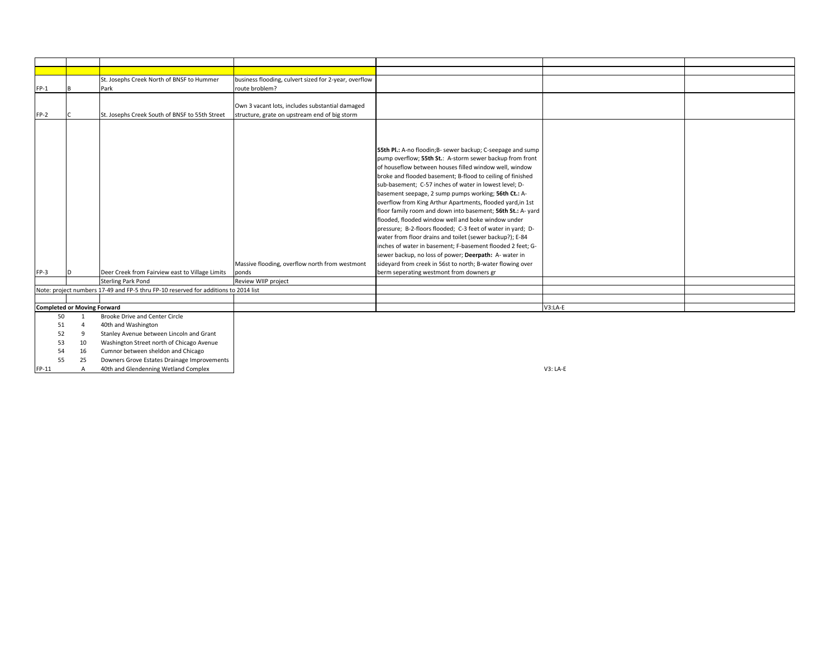|        |                                    | St. Josephs Creek North of BNSF to Hummer                                           | business flooding, culvert sized for 2-year, overflow                                            |                                                                                                                                                                                                                                                                                                                                                                                                                                                                                                                                                                                                                                                                                                                                                                                                                                                                                                                 |           |  |
|--------|------------------------------------|-------------------------------------------------------------------------------------|--------------------------------------------------------------------------------------------------|-----------------------------------------------------------------------------------------------------------------------------------------------------------------------------------------------------------------------------------------------------------------------------------------------------------------------------------------------------------------------------------------------------------------------------------------------------------------------------------------------------------------------------------------------------------------------------------------------------------------------------------------------------------------------------------------------------------------------------------------------------------------------------------------------------------------------------------------------------------------------------------------------------------------|-----------|--|
| $FP-1$ |                                    | Park                                                                                | route broblem?                                                                                   |                                                                                                                                                                                                                                                                                                                                                                                                                                                                                                                                                                                                                                                                                                                                                                                                                                                                                                                 |           |  |
| $FP-2$ |                                    | St. Josephs Creek South of BNSF to 55th Street                                      | Own 3 vacant lots, includes substantial damaged<br>structure, grate on upstream end of big storm |                                                                                                                                                                                                                                                                                                                                                                                                                                                                                                                                                                                                                                                                                                                                                                                                                                                                                                                 |           |  |
| $FP-3$ |                                    | Deer Creek from Fairview east to Village Limits<br><b>Sterling Park Pond</b>        | Massive flooding, overflow north from westmont<br>ponds<br>Review WIIP project                   | 55th Pl.: A-no floodin;B- sewer backup; C-seepage and sump<br>pump overflow; 55th St.: A-storm sewer backup from front<br>of houseflow between houses filled window well, window<br>broke and flooded basement; B-flood to ceiling of finished<br>sub-basement; C-57 inches of water in lowest level; D-<br>basement seepage, 2 sump pumps working; 56th Ct.: A-<br>overflow from King Arthur Apartments, flooded yard, in 1st<br>floor family room and down into basement; 56th St.: A- yard<br>flooded, flooded window well and boke window under<br>pressure; B-2-floors flooded; C-3 feet of water in yard; D-<br>water from floor drains and toilet (sewer backup?); E-84<br>inches of water in basement; F-basement flooded 2 feet; G-<br>sewer backup, no loss of power; Deerpath: A- water in<br>sideyard from creek in 56st to north; B-water flowing over<br>berm seperating westmont from downers gr |           |  |
|        |                                    | Note: project numbers 17-49 and FP-5 thru FP-10 reserved for additions to 2014 list |                                                                                                  |                                                                                                                                                                                                                                                                                                                                                                                                                                                                                                                                                                                                                                                                                                                                                                                                                                                                                                                 |           |  |
|        |                                    |                                                                                     |                                                                                                  |                                                                                                                                                                                                                                                                                                                                                                                                                                                                                                                                                                                                                                                                                                                                                                                                                                                                                                                 |           |  |
|        | <b>Completed or Moving Forward</b> |                                                                                     |                                                                                                  |                                                                                                                                                                                                                                                                                                                                                                                                                                                                                                                                                                                                                                                                                                                                                                                                                                                                                                                 | $V3:LA-E$ |  |
| 50     | $\overline{1}$                     | <b>Brooke Drive and Center Circle</b>                                               |                                                                                                  |                                                                                                                                                                                                                                                                                                                                                                                                                                                                                                                                                                                                                                                                                                                                                                                                                                                                                                                 |           |  |
| 51     | $\overline{4}$                     | 40th and Washington                                                                 |                                                                                                  |                                                                                                                                                                                                                                                                                                                                                                                                                                                                                                                                                                                                                                                                                                                                                                                                                                                                                                                 |           |  |
| 52     | 9                                  | Stanley Avenue between Lincoln and Grant                                            |                                                                                                  |                                                                                                                                                                                                                                                                                                                                                                                                                                                                                                                                                                                                                                                                                                                                                                                                                                                                                                                 |           |  |
| 53     | 10                                 | Washington Street north of Chicago Avenue                                           |                                                                                                  |                                                                                                                                                                                                                                                                                                                                                                                                                                                                                                                                                                                                                                                                                                                                                                                                                                                                                                                 |           |  |
| 54     | 16                                 | Cumnor between sheldon and Chicago                                                  |                                                                                                  |                                                                                                                                                                                                                                                                                                                                                                                                                                                                                                                                                                                                                                                                                                                                                                                                                                                                                                                 |           |  |
| EE.    | <b>DE</b>                          | Downers Grove Estatos Drainago Improvements                                         |                                                                                                  |                                                                                                                                                                                                                                                                                                                                                                                                                                                                                                                                                                                                                                                                                                                                                                                                                                                                                                                 |           |  |

55 25 Downers Grove Estates Drainage Improvements FP-11 A 40th and Glendenning Wetland Complex V3: LA-E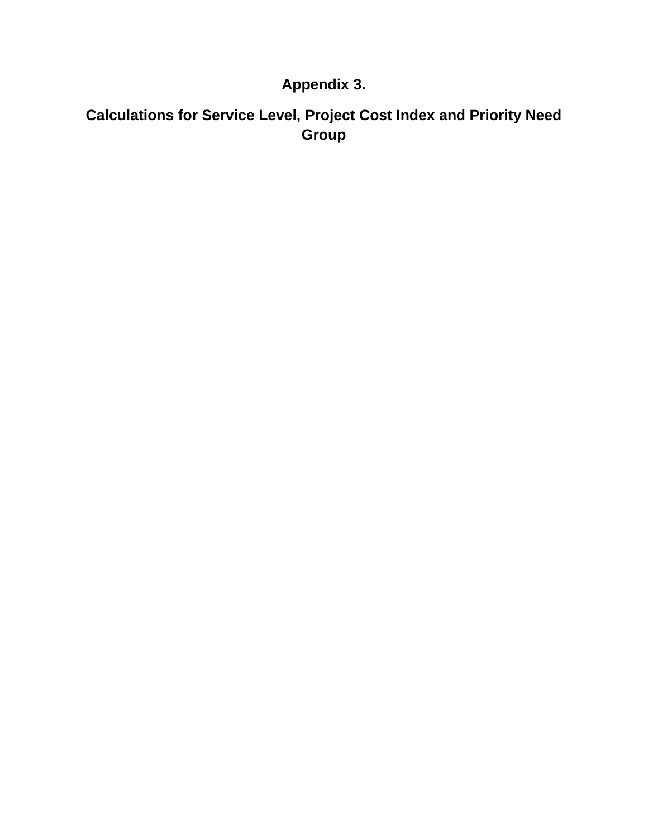### **Appendix 3.**

## **Calculations for Service Level, Project Cost Index and Priority Need Group**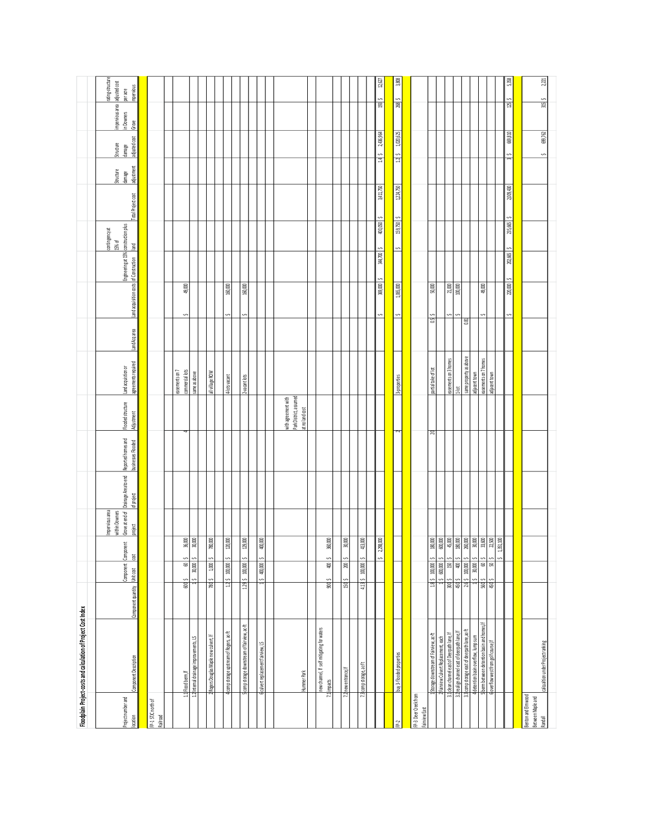|                                                    | Floodplain Project-costs and calculation of Project Cost Index                      |                     |                                                           |                                                 |                                                                    |                      |                                          |                                               |                                           |              |                                        |                                      |                                     |                    |                                   |                                      |                                                                      |                               |
|----------------------------------------------------|-------------------------------------------------------------------------------------|---------------------|-----------------------------------------------------------|-------------------------------------------------|--------------------------------------------------------------------|----------------------|------------------------------------------|-----------------------------------------------|-------------------------------------------|--------------|----------------------------------------|--------------------------------------|-------------------------------------|--------------------|-----------------------------------|--------------------------------------|----------------------------------------------------------------------|-------------------------------|
| Project number and<br>location                     | Component Description                                                               | Compone nt quantity | Component Component<br>$\overline{\text{c}}$<br>Unit cost | project                                         | of project<br>Impervious area<br>within Downers<br>Grove at end of | Drainage Area to end | Reported homes and<br>businesses Flooded | Flooded structure<br>Adjustment               | agreements required<br>Land acquistion or | land Am area | Land acquisition costs of Construction | Engineering at 15% construction plus | contingency at<br>$15\%$ of<br>land | Total Project cost | adjustment<br>Structure<br>damage | adjusted cost<br>Structure<br>damage | limpervious area   adjusted cost<br>  in Downers   per acre<br>Grove | rating-structure<br>mpervious |
| FP-1 STJC north of                                 |                                                                                     |                     |                                                           |                                                 |                                                                    |                      |                                          |                                               |                                           |              |                                        |                                      |                                     |                    |                                   |                                      |                                                                      |                               |
| Railroad                                           |                                                                                     |                     |                                                           |                                                 |                                                                    |                      |                                          |                                               |                                           |              |                                        |                                      |                                     |                    |                                   |                                      |                                                                      |                               |
|                                                    |                                                                                     |                     |                                                           |                                                 |                                                                    |                      |                                          |                                               | easements on 7                            |              |                                        |                                      |                                     |                    |                                   |                                      |                                                                      |                               |
|                                                    | 1.2 Internal drainage improvements, LS<br>1.1 Flood berm, If                        | 80                  | S<br>S<br>60<br>30,000<br>S<br>S                          | $36,\!000$<br>000 (R                            |                                                                    |                      |                                          |                                               | commercial lots<br>same as above          |              | 49,000<br>S                            |                                      |                                     |                    |                                   |                                      |                                                                      |                               |
|                                                    |                                                                                     |                     |                                                           |                                                 |                                                                    |                      |                                          |                                               |                                           |              |                                        |                                      |                                     |                    |                                   |                                      |                                                                      |                               |
|                                                    | Rogers Douglas Maple new culvert, If                                                | 780                 | $1,000$<br>$\ddot{\phantom{0}}$                           | 780,000                                         |                                                                    |                      |                                          |                                               | all village ROW                           |              |                                        |                                      |                                     |                    |                                   |                                      |                                                                      |                               |
|                                                    | comp storage upstream of Rogers, ac-ft                                              | $\mathbb{Z}$        | $100,\!000$<br>s                                          | 120,000                                         |                                                                    |                      |                                          |                                               | 4-lotsvacant                              |              | 160,000                                |                                      |                                     |                    |                                   |                                      |                                                                      |                               |
|                                                    | comp storage downstream of fairview, ac-ft                                          |                     | 129 \$ 100,000                                            | 000621                                          |                                                                    |                      |                                          |                                               | 2-vacant lots                             |              | 160,000<br>S                           |                                      |                                     |                    |                                   |                                      |                                                                      |                               |
|                                                    |                                                                                     |                     |                                                           |                                                 |                                                                    |                      |                                          |                                               |                                           |              |                                        |                                      |                                     |                    |                                   |                                      |                                                                      |                               |
|                                                    | 6 culvert replacement fairview, LS                                                  |                     | 400,000<br>s                                              | 000'00#                                         |                                                                    |                      |                                          |                                               |                                           |              |                                        |                                      |                                     |                    |                                   |                                      |                                                                      |                               |
|                                                    |                                                                                     |                     |                                                           |                                                 |                                                                    |                      |                                          |                                               |                                           |              |                                        |                                      |                                     |                    |                                   |                                      |                                                                      |                               |
|                                                    |                                                                                     |                     |                                                           |                                                 |                                                                    |                      |                                          | Park District, assumed<br>with agreement with |                                           |              |                                        |                                      |                                     |                    |                                   |                                      |                                                                      |                               |
|                                                    | Hummer Park                                                                         |                     |                                                           |                                                 |                                                                    |                      |                                          | at no land cost                               |                                           |              |                                        |                                      |                                     |                    |                                   |                                      |                                                                      |                               |
|                                                    | new channel, If self mitigating for waters<br>7.1 impacts                           | R                   | 400<br>S                                                  | 360,000                                         |                                                                    |                      |                                          |                                               |                                           |              |                                        |                                      |                                     |                    |                                   |                                      |                                                                      |                               |
|                                                    |                                                                                     |                     |                                                           |                                                 |                                                                    |                      |                                          |                                               |                                           |              |                                        |                                      |                                     |                    |                                   |                                      |                                                                      |                               |
|                                                    | 72 new entrance, If                                                                 | 50                  | $200\,$                                                   | 30,000                                          |                                                                    |                      |                                          |                                               |                                           |              |                                        |                                      |                                     |                    |                                   |                                      |                                                                      |                               |
|                                                    | 73 comp storage, ac-ft                                                              | $4.13\frac{5}{2}$   | $\mathbf{S}$<br>100,000                                   | $413,000$                                       |                                                                    |                      |                                          |                                               |                                           |              |                                        |                                      |                                     |                    |                                   |                                      |                                                                      |                               |
|                                                    |                                                                                     |                     | s,                                                        | 298,000<br>$\mathbf{r}$                         |                                                                    |                      |                                          |                                               |                                           |              | 369,000<br>s                           | 344,700                              | 400,050<br>s                        | 3,411,750          | 145                               | 2,436,964                            | $\frac{1}{2}$                                                        | $12,627$                      |
|                                                    |                                                                                     |                     |                                                           |                                                 |                                                                    |                      |                                          |                                               |                                           |              |                                        |                                      |                                     |                    |                                   |                                      |                                                                      |                               |
|                                                    | buy 3-flooded properties                                                            |                     |                                                           |                                                 |                                                                    |                      | ≂                                        |                                               | 3-properties                              |              | 1,065,000<br>$\ddot{\phantom{0}}$      |                                      | 159,750 \$<br>$\hat{\phantom{0}}$   | 1,224,750          | $12\frac{2}{3}$                   | $1,020,625$                          | $268$ \$                                                             | 3,808                         |
| FP-3 Deer Creek from<br>Fainiew East               |                                                                                     |                     |                                                           |                                                 |                                                                    |                      |                                          |                                               |                                           |              |                                        |                                      |                                     |                    |                                   |                                      |                                                                      |                               |
|                                                    | Storage downstream of Fairview, ac-ff.                                              |                     | 18 \$ 100,000                                             | 000081                                          |                                                                    |                      | Dζ                                       |                                               | partial take of lot                       | C5           | $50,\!000$                             |                                      |                                     |                    |                                   |                                      |                                                                      |                               |
|                                                    | 3.1 clean channel east of Deerpath lane, If<br>2 Fairview Culvert Replacement, each | $\approx$           | 150000<br>$150\,$<br>S                                    | 600,000<br>$45,\!000$                           |                                                                    |                      |                                          |                                               | easements on 3 homes                      |              | 21,000                                 |                                      |                                     |                    |                                   |                                      |                                                                      |                               |
|                                                    | 3.2 realign channel east of deerpath lane, I                                        | 450                 | 400<br>s                                                  |                                                 |                                                                    |                      |                                          |                                               | $\frac{1}{2}$                             |              | 100,000                                |                                      |                                     |                    |                                   |                                      |                                                                      |                               |
|                                                    | 33 comp storage e ast of deerpath lane, ac-ft                                       |                     | S<br>2.6 \$ 100,000                                       | $\frac{180,000}{260,000}$                       |                                                                    |                      |                                          |                                               | same property as above                    | 0.81         |                                        |                                      |                                     |                    |                                   |                                      |                                                                      |                               |
|                                                    | 4 detention basin overflow, lump sum                                                |                     | 30,000<br>S                                               | 30,000                                          |                                                                    |                      |                                          |                                               | adjacent town                             |              |                                        |                                      |                                     |                    |                                   |                                      |                                                                      |                               |
|                                                    | 5 berm between detention basin and homes, If                                        | $rac{5}{450}$       | $\circledast$                                             | $\begin{array}{c} 33,600 \\ 22,500 \end{array}$ |                                                                    |                      |                                          |                                               | easements on 7 homes                      |              | 49,000                                 |                                      |                                     |                    |                                   |                                      |                                                                      |                               |
|                                                    | 6 overflow west from golf course, If                                                |                     | R                                                         | $351,\allowbreak 100$                           |                                                                    |                      |                                          |                                               | adjacent town                             |              |                                        |                                      |                                     |                    |                                   |                                      |                                                                      |                               |
|                                                    |                                                                                     |                     |                                                           |                                                 |                                                                    |                      |                                          |                                               |                                           |              | $220,\!000$<br>s                       | 202,665                              | 235,665                             | 2,009,430          |                                   | 669,810                              | 15                                                                   | 5,358                         |
|                                                    |                                                                                     |                     |                                                           |                                                 |                                                                    |                      |                                          |                                               |                                           |              |                                        |                                      |                                     |                    |                                   |                                      |                                                                      |                               |
| Benton and Elmwood<br>Between Maple and<br>Randall | calcualtion under Project ranking                                                   |                     |                                                           |                                                 |                                                                    |                      |                                          |                                               |                                           |              |                                        |                                      |                                     |                    | S                                 | 699,762                              | $\frac{31}{2}$                                                       | 2,221                         |
|                                                    |                                                                                     |                     |                                                           |                                                 |                                                                    |                      |                                          |                                               |                                           |              |                                        |                                      |                                     |                    |                                   |                                      |                                                                      |                               |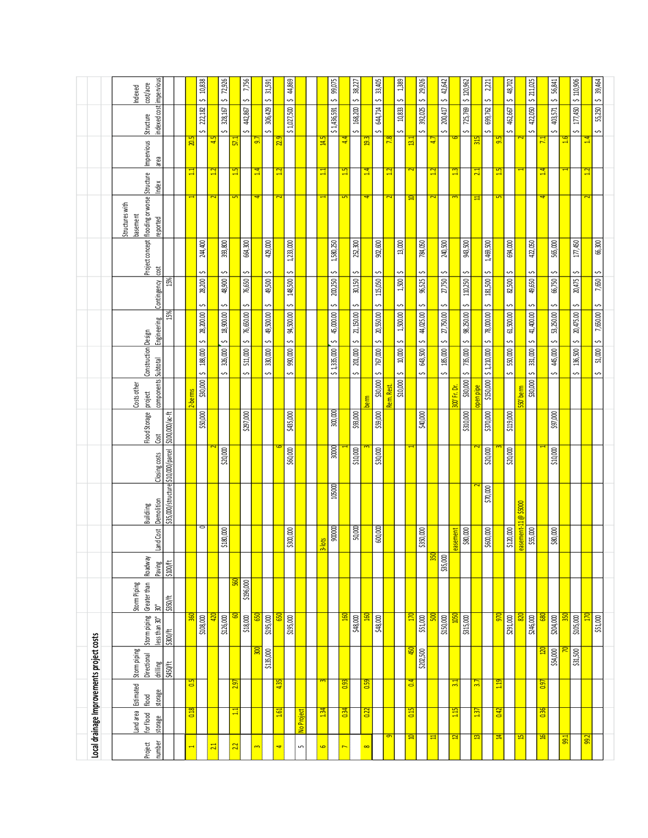|                                           | cost/acre<br>Indexed                                                                                |                                    |                          | 10,838<br>$\hat{ }$ |                 | 72,926<br>S            |                    | 7,756<br>S        |              | 31,591<br>S       |              | 44,869<br>Ş       |                          |           | 99,075<br>Ş       |                   | 38,227<br>Ş       |               | 33,405<br>S       |                 | 1389<br>Ş          |                         | 29,926<br>Ş       |     | 42,642<br>S       |                 | \$120,962         |                         | 2,221<br>Ş                 |                    | 48,702<br>s       |               | \$211,025      |                 | 56,841<br>$\sim$  |                | \$110,906         |              | 39,464            |
|-------------------------------------------|-----------------------------------------------------------------------------------------------------|------------------------------------|--------------------------|---------------------|-----------------|------------------------|--------------------|-------------------|--------------|-------------------|--------------|-------------------|--------------------------|-----------|-------------------|-------------------|-------------------|---------------|-------------------|-----------------|--------------------|-------------------------|-------------------|-----|-------------------|-----------------|-------------------|-------------------------|----------------------------|--------------------|-------------------|---------------|----------------|-----------------|-------------------|----------------|-------------------|--------------|-------------------|
|                                           | indexed cost impervious<br>Structure                                                                |                                    |                          | 222,182<br>S        |                 | 328,167<br>S           |                    | 442,867<br>S      |              | 306,429<br>S      |              | \$1,027,500       |                          |           | \$1,436,591       |                   | 168,200<br>S      |               | 644,714<br>S      |                 | 10,833<br>Ş        |                         | 392,025<br>S      |     | 200,417<br>S      |                 | 725,769<br>S      |                         | 699,762<br>S               |                    | 462,667<br>S      |               | 422,050<br>S   |                 | 403,571<br>S      |                | 177,450<br>S      |              | $55,250$ $5$<br>S |
|                                           | Impervious<br>area                                                                                  |                                    | 20.5                     |                     | ្ន              |                        | $\overline{57}$    |                   | 50           |                   | 2.9          |                   |                          | 14.5      |                   | ₹                 |                   | $\frac{2}{9}$ |                   | $\overline{78}$ |                    | $\overline{13.1}$       |                   | ₽   |                   |                 |                   | $\frac{15}{25}$         |                            | 59                 |                   |               |                | $\overline{11}$ |                   | $\frac{6}{16}$ |                   | 14           |                   |
|                                           | Project concept   flooding or worse   Structure<br>Index<br>Structures with<br>basement<br>reported |                                    | 급                        |                     | $\mathbf{u}$    |                        | $\mathbf{15}$<br>5 |                   | $\mathbf{1}$ |                   | $\mathbf{r}$ |                   |                          | ⊒         |                   | $\mathbf{5}$<br>5 |                   | 즼             |                   | ੜ               |                    | $\overline{\mathbf{a}}$ |                   | ⊟   |                   | ⊞               |                   | $\overline{21}$<br>Ξ    |                            | $\mathbf{15}$<br>5 |                   |               |                | 14<br>4         |                   |                |                   | $\mathbf{u}$ |                   |
|                                           | cost                                                                                                |                                    |                          | 244,400             |                 | 393,800                |                    | 664,300           |              | 429,000           |              | 1,233,000         |                          |           | 1,580,250         |                   | 252,300           |               | 902,600           |                 | $13,000\,$         |                         | 784,050           |     | 240,500           |                 | 943,500           |                         | 1,469,500                  |                    | 694,000           |               | 422,050        |                 | 565,000           |                | $177,450$         |              | 66,300            |
|                                           | Contingency                                                                                         | 15%                                |                          | S<br>28,200<br>Ş    |                 | S<br>48,900<br>S       |                    | S<br>76,650<br>S  |              | S<br>49,500       |              | Ş<br>148,500<br>Ş |                          |           | S<br>200,250<br>S |                   | Ş<br>30,150<br>Ş  |               | Ş<br>115,050<br>Ş |                 | Ş<br>1,500<br>Ş    |                         | S<br>96,525<br>S  |     | S<br>27,750<br>Ş  |                 | S<br>110,250<br>S |                         | S<br>181,500<br>S          |                    | S<br>82,500       |               | Ş<br>49,650    |                 | Ş<br>66,750       |                | Ş<br>20,475<br>Ş  |              | S<br>7,650        |
|                                           | Engineering                                                                                         | 15%                                |                          | 28,200.00           |                 | 18,900.00              |                    | 76,650.00         |              | Ş<br>49,500.00    |              | 94,500.00         |                          |           | 45,000.00         |                   | 21,150.00         |               | 20,550.00         |                 | 1,500.00           |                         | 44,025.00         |     | 27,750.00         |                 | 98,250.00         |                         | 78,000.00                  |                    | S<br>61,500.00    |               | S<br>41,400.00 |                 | S<br>53,250.00    |                | 20,475.00         |              | $7,650.00$ \$     |
|                                           | Construction Design                                                                                 |                                    |                          | Ş<br>188,000<br>s   |                 | $\sim$<br>326,000<br>S |                    | Ş<br>511,000<br>S |              | Ş<br>330,000<br>S |              | Ş<br>990,000<br>Ş |                          |           | Ş<br>\$1,335,000  |                   | Ş<br>201,000<br>S |               | Ş<br>767,000<br>S |                 | Ş<br>$10,000$<br>Ş |                         | s<br>643,500<br>S |     | S<br>185,000<br>S |                 | S<br>735,000<br>S |                         | Ş<br>\$150,000 \$1,210,000 |                    | $550,000$ \$<br>s |               | S<br>331,000   |                 | 445,000   \$<br>S |                | Ş<br>136,500<br>S |              | $51,000$ \$<br>S  |
|                                           | components Subtotal<br>Costs other<br>project                                                       |                                    | -berms                   | \$30,000            |                 |                        |                    |                   |              |                   |              |                   |                          |           |                   |                   |                   | perm          | \$30,000          | Rem. Rest       | \$10,000           |                         |                   |     |                   | 300' Fr. Dr.    | 530,000           | penpipe                 |                            |                    |                   | $550'$ be $m$ | $$30,000$ $$$  |                 |                   |                |                   |              |                   |
|                                           | Flood Storage<br>Cost                                                                               | \$100,000/ac-ft                    |                          | \$50,000            |                 |                        |                    | \$297,000         |              |                   |              | \$435,000         |                          |           | 300,000           |                   | \$93,000          |               | \$59,000          |                 |                    |                         | \$40,000          |     |                   |                 | \$310,000         |                         | \$370,000                  |                    | \$119,000         |               |                |                 | \$97,000          |                |                   |              |                   |
|                                           | Closing costs                                                                                       |                                    |                          |                     |                 | \$20,000               |                    |                   |              |                   |              | \$60,000          |                          |           | 30000             |                   | \$10,000          |               | \$30,000          |                 |                    |                         |                   |     |                   |                 |                   |                         | \$20,000                   |                    | \$20,000          |               |                |                 | \$10,000          |                |                   |              |                   |
|                                           | Demolition<br>Buildiing                                                                             | \$35,000/structure \$10,000/parcel |                          |                     |                 |                        |                    |                   |              |                   |              |                   |                          |           | 105000            |                   |                   |               |                   |                 |                    |                         |                   |     |                   |                 |                   | $\overline{\mathbf{c}}$ | \$70,000                   |                    |                   | @\$5000       |                |                 |                   |                |                   |              |                   |
|                                           | Land Cost                                                                                           |                                    |                          | O                   |                 | \$180,000              |                    |                   |              |                   |              | \$300,000         |                          | $3$ -lots | 900000            |                   | 50,000            |               | 600,000           |                 |                    |                         | \$350,000         |     |                   | easement        | 00008\$           |                         | \$600,000                  |                    | \$120,000         | easement-11   | \$55,000       |                 | \$80,000          |                |                   |              |                   |
|                                           | Roadway<br>Paving                                                                                   | \$100/ft                           |                          |                     |                 |                        | ಜ                  |                   |              |                   |              |                   |                          |           |                   |                   |                   |               |                   |                 |                    |                         |                   | 550 | \$35,000          |                 |                   |                         |                            |                    |                   |               |                |                 |                   |                |                   |              |                   |
|                                           | Greater than<br>Storm Piping<br>$30^{\circ}$                                                        | \$350/ft                           |                          |                     |                 |                        |                    | \$196,000         |              |                   |              |                   |                          |           |                   |                   |                   |               |                   |                 |                    |                         |                   |     |                   |                 |                   |                         |                            |                    |                   |               |                |                 |                   |                |                   |              |                   |
|                                           | Storm piping<br>ess than 30"                                                                        | \$300/ft                           | <b>Jec</b>               | \$108,000           |                 | \$126,000              |                    | \$18,000          | ē            | \$195,000         | 5            | \$195,000         |                          |           |                   |                   | \$48,000          |               | \$48,000          |                 |                    | 吕                       | \$51,000          |     | \$150,000         |                 | \$315,000         |                         |                            | <u>ж</u>           | \$291,000         | ଛା            | \$246,000      | ඹි              | \$204,000         |                | \$105,000         |              | \$51,000          |
| Local drainage Improvements project costs | Stom piping<br>Directional<br>drilling                                                              | \$450/ft                           |                          |                     |                 |                        |                    |                   | ន្ត្រ        | \$135,000         |              |                   |                          |           |                   |                   |                   |               |                   |                 |                    | 50                      | \$202,500         |     |                   |                 |                   |                         |                            |                    |                   |               |                | $\overline{20}$ | \$54,000          |                | \$31,500          |              |                   |
|                                           | Estimated<br>storage<br>flood                                                                       |                                    | 0.5                      |                     |                 |                        | 2.97               |                   |              |                   | 4.35         |                   |                          |           |                   | 0.93              |                   | 0.59          |                   |                 |                    | 0.4                     |                   |     |                   | $\overline{31}$ |                   | $\overline{37}$         |                            | 119                |                   |               |                | 0.97            |                   |                |                   |              |                   |
|                                           | Land area<br>forflood<br>storage                                                                    |                                    | 0.18                     |                     |                 |                        | $\Xi$              |                   |              |                   | 1.61         |                   | No Project               | 1.34      |                   | 0.34              |                   | 0.22          |                   |                 |                    | 0.15                    |                   |     |                   | 1.15            |                   | 137                     |                            | 0.42               |                   |               |                | 0.36            |                   |                |                   |              |                   |
|                                           | number<br>Project                                                                                   |                                    | $\overline{\phantom{0}}$ |                     | $\overline{21}$ |                        | 22                 |                   | $\mathbf{m}$ |                   | 4            |                   | $\overline{\phantom{a}}$ | 9         |                   | $\overline{ }$    |                   | $\infty$      |                   | q               |                    | $\overline{\mathbf{u}}$ |                   | n   |                   | 2               |                   | 13                      |                            | 昌                  |                   | E             |                | 鸟               |                   | 99.1           |                   | 99.2         |                   |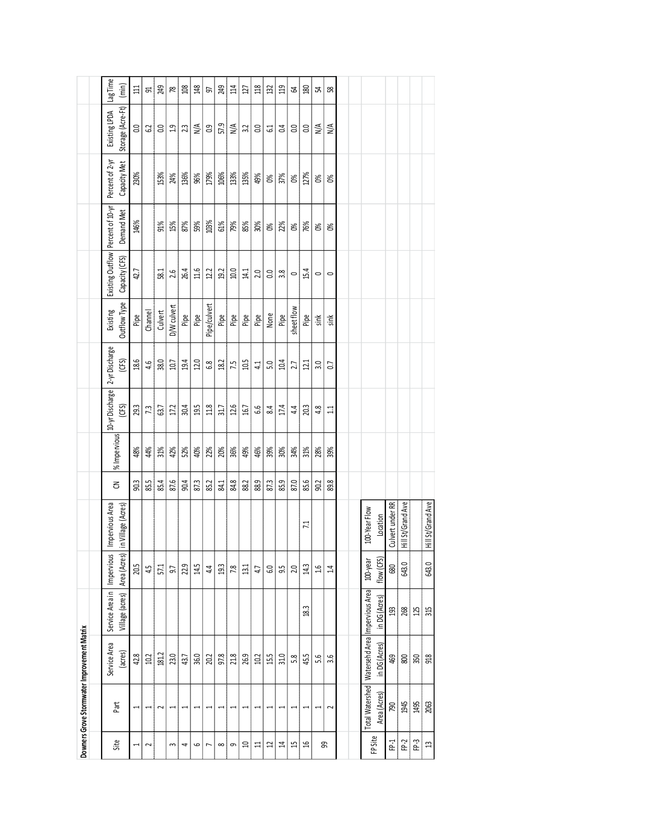|                          |                          | Downers Grove Stormwater Improvement Matrix                         |                                    |                            |                                       |      |              |                         |                        |                          |                                                       |            |                                 |                                    |                   |
|--------------------------|--------------------------|---------------------------------------------------------------------|------------------------------------|----------------------------|---------------------------------------|------|--------------|-------------------------|------------------------|--------------------------|-------------------------------------------------------|------------|---------------------------------|------------------------------------|-------------------|
|                          |                          |                                                                     |                                    |                            |                                       |      |              |                         |                        |                          |                                                       |            |                                 |                                    |                   |
| Site                     | Part                     | Service Area<br>(acres)                                             | Service Area in<br>Village (acres) | Impervious<br>Area (Acres) | Impervious Area<br>in Village (Acres) | 3    | % Impervious | 10-yr Discharge<br>(CS) | 2-yr Discharge<br>(CS) | Outflow Type<br>Existing | Existing Outflow   Percent of 10-yr<br>Capacity (CFS) | Demand Met | Percent of 2-yr<br>Capacity Met | Storage (Acre-Ft)<br>Existing LPDA | Lag Time<br>(min) |
| $\overline{\phantom{0}}$ | $\overline{\phantom{0}}$ | 42.8                                                                |                                    | 20.5                       |                                       | 90.3 | 48%          | 29.3                    | 18.6                   | Pipe                     | 42.7                                                  | 146%       | 230%                            | 0.0                                | $\Xi$             |
| $\sim$                   |                          | 10.2                                                                |                                    | 45                         |                                       | 85.5 | 4%           | 7.3                     | 4.6                    | Channel                  |                                                       |            |                                 | 62                                 | 2                 |
|                          | 2                        | 181.2                                                               |                                    | 51                         |                                       | 85.4 | 31%          | 63.7                    | 38.0                   | Culvert                  | 58.1                                                  | 91%        | 153%                            | $\rm ^{\circ}$                     | 249               |
| 3                        |                          | 23.0                                                                |                                    | 9.7                        |                                       | 87.6 | 42%          | 17.2                    | 10.7                   | D/W culvert              | 2.6                                                   | 15%        | 24%                             | $\frac{9}{11}$                     | 78                |
| 4                        |                          | 43.7                                                                |                                    | 2.9                        |                                       | 90.4 | 52%          | 30.4                    | 19.4                   | Pipe                     | 26.4                                                  | 87%        | 136%                            | 2.3                                | $\approx$         |
| ص                        |                          | 36.0                                                                |                                    | 14.5                       |                                       | 87.3 | 40%          | 19.5                    | 12.0                   | Pipe                     | 11.6                                                  | 59%        | 96%                             | $\frac{4}{\sqrt{2}}$               | 148               |
| $\overline{ }$           |                          | 20.2                                                                |                                    | 44                         |                                       | 85.2 | $2\%$        | 11.8                    | $6.8\,$                | Pipe/culvert             | 12.2                                                  | 103%       | 179%                            | $\frac{9}{2}$                      | 57                |
| $\infty$                 |                          | 97.8                                                                |                                    | 93                         |                                       | 84.1 | 20%          | 31.7                    | 18.2                   | Pipe                     | 19.2                                                  | 61%        | 106%                            | 57.9                               | 249               |
| 9                        |                          | 21.8                                                                |                                    | 7.8                        |                                       | 84.8 | 36%          | 12.6                    | 7.5                    | Pipe                     | 10.0                                                  | 79%        | 133%                            | $\frac{4}{\sqrt{2}}$               | 114               |
| a                        |                          | 26.9                                                                |                                    | $\overline{3}1$            |                                       | 88.2 | 49%          | 16.7                    | 10.5                   | Pipe                     | 14.1                                                  | 85%        | 135%                            | 3.2                                | 127               |
| ਜ਼                       |                          | 10.2                                                                |                                    | 47                         |                                       | 88.9 | 46%          | 9.9                     | 41                     | Pipe                     | 2.0                                                   | 30%        | 49%                             | 0.0                                | 118               |
| Ω                        |                          | 15.5                                                                |                                    | G.O                        |                                       | 87.3 | 39%          | 84                      | 5.0                    | None                     | 0.0                                                   | X          | 8 <sup>o</sup>                  | 61                                 | 32                |
| 4                        |                          | 31.0                                                                |                                    | 9.5                        |                                       | 85.9 | 30%          | 17.4                    | 10.4                   | Pipe                     | 3.8                                                   | 22%        | 37%                             | 0.4                                | $\overline{a}$    |
| 15                       |                          | 5.8                                                                 |                                    | 2.0                        |                                       | 87.0 | 34%          | 4.4                     | 2.7                    | sheetflow                | $\circ$                                               | X          | Ò,                              | 0.0                                | Z                 |
| βĻ                       |                          | 45.5                                                                | 18.3                               | 14.3                       | $\overline{11}$                       | 85.6 | 31%          | 20.3                    | 121                    | Pipe                     | 15.4                                                  | 76%        | 127%                            | 0.0                                | g                 |
| க                        |                          | 5.6                                                                 |                                    | 1.6                        |                                       | 90.2 | 28%          | 4.8                     | 3.0                    | sink                     | $\circ$                                               | జ          | Ò,                              | $\frac{4}{\sqrt{2}}$               | 꾽                 |
|                          | 2                        | 3.6                                                                 |                                    | 14                         |                                       | 89.8 | 39%          | $\Xi$                   | $\overline{0}$         | sink                     | $\circ$                                               | జ          | 8 <sup>o</sup>                  | $\frac{4}{\sqrt{2}}$               | 58                |
|                          |                          |                                                                     |                                    |                            |                                       |      |              |                         |                        |                          |                                                       |            |                                 |                                    |                   |
|                          |                          |                                                                     |                                    |                            |                                       |      |              |                         |                        |                          |                                                       |            |                                 |                                    |                   |
| FP Site                  | Area (Acres)             | Total Watershed   Watersehd Area   Impervious Area<br>in DG (Acres) | in DG (Acres)                      | flow (CFS)<br>100-year     | 100-Year Flow<br>Location             |      |              |                         |                        |                          |                                                       |            |                                 |                                    |                   |
| F <sub>2</sub>           | PQQ                      | 469                                                                 | $\mathfrak{g}$                     | 680                        | Culvert under RR                      |      |              |                         |                        |                          |                                                       |            |                                 |                                    |                   |
| FP-2                     | 1945                     | $\frac{8}{2}$                                                       | 268                                | 643.0                      | Hill St/Grand Ave                     |      |              |                         |                        |                          |                                                       |            |                                 |                                    |                   |
| FP-3                     | 1495                     | 350                                                                 | 125                                |                            |                                       |      |              |                         |                        |                          |                                                       |            |                                 |                                    |                   |
| 13                       | 2063                     | 918                                                                 | 315                                | 643.0                      | Hill St/Grand Ave                     |      |              |                         |                        |                          |                                                       |            |                                 |                                    |                   |